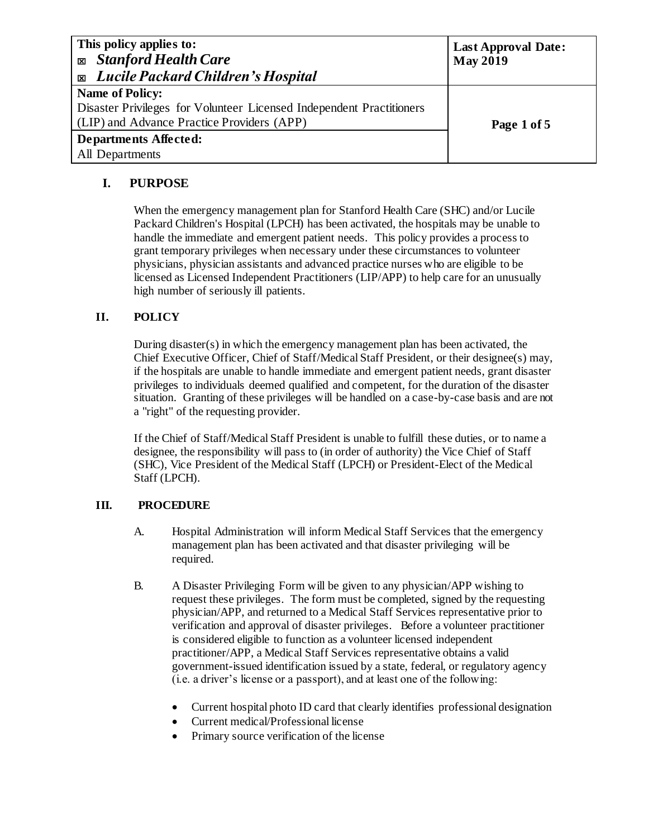| This policy applies to:<br><b>Exp.</b> Stanford Health Care<br><b>Exable 2</b> Lucile Packard Children's Hospital | <b>Last Approval Date:</b><br><b>May 2019</b> |  |  |  |
|-------------------------------------------------------------------------------------------------------------------|-----------------------------------------------|--|--|--|
| <b>Name of Policy:</b>                                                                                            |                                               |  |  |  |
| Disaster Privileges for Volunteer Licensed Independent Practitioners                                              |                                               |  |  |  |
| (LIP) and Advance Practice Providers (APP)                                                                        | Page 1 of 5                                   |  |  |  |
| <b>Departments Affected:</b>                                                                                      |                                               |  |  |  |
| All Departments                                                                                                   |                                               |  |  |  |

# **I. PURPOSE**

When the emergency management plan for Stanford Health Care (SHC) and/or Lucile Packard Children's Hospital (LPCH) has been activated, the hospitals may be unable to handle the immediate and emergent patient needs. This policy provides a process to grant temporary privileges when necessary under these circumstances to volunteer physicians, physician assistants and advanced practice nurses who are eligible to be licensed as Licensed Independent Practitioners (LIP/APP) to help care for an unusually high number of seriously ill patients.

## **II. POLICY**

During disaster(s) in which the emergency management plan has been activated, the Chief Executive Officer, Chief of Staff/Medical Staff President, or their designee(s) may, if the hospitals are unable to handle immediate and emergent patient needs, grant disaster privileges to individuals deemed qualified and competent, for the duration of the disaster situation. Granting of these privileges will be handled on a case-by-case basis and are not a "right" of the requesting provider.

If the Chief of Staff/Medical Staff President is unable to fulfill these duties, or to name a designee, the responsibility will pass to (in order of authority) the Vice Chief of Staff (SHC), Vice President of the Medical Staff (LPCH) or President-Elect of the Medical Staff (LPCH).

## **III. PROCEDURE**

- A. Hospital Administration will inform Medical Staff Services that the emergency management plan has been activated and that disaster privileging will be required.
- B. A Disaster Privileging Form will be given to any physician/APP wishing to request these privileges. The form must be completed, signed by the requesting physician/APP, and returned to a Medical Staff Services representative prior to verification and approval of disaster privileges. Before a volunteer practitioner is considered eligible to function as a volunteer licensed independent practitioner/APP, a Medical Staff Services representative obtains a valid government-issued identification issued by a state, federal, or regulatory agency (i.e. a driver's license or a passport), and at least one of the following:
	- Current hospital photo ID card that clearly identifies professional designation
	- Current medical/Professional license
	- Primary source verification of the license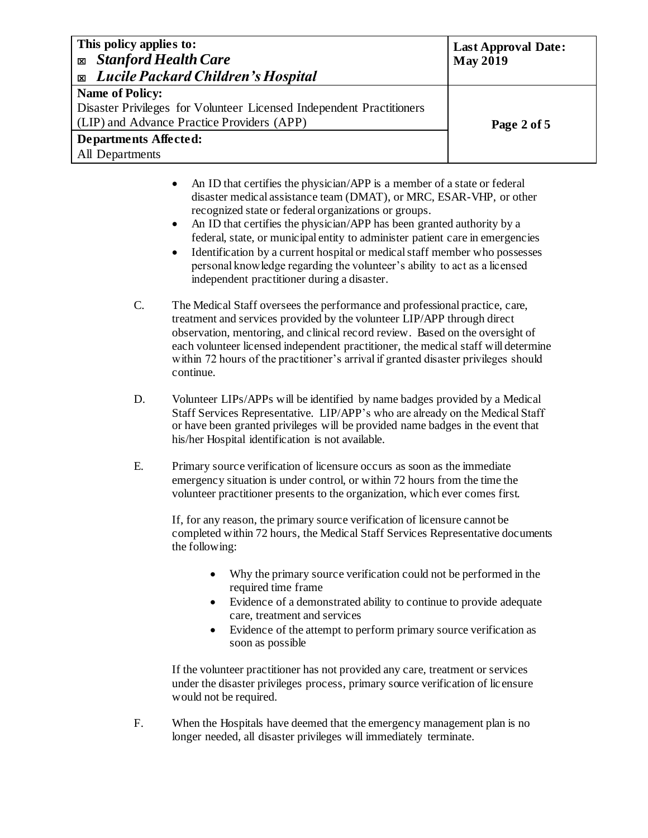| This policy applies to:<br><b>Stanford Health Care</b><br>図<br><b>Exable 2</b> Lucile Packard Children's Hospital                     | <b>Last Approval Date:</b><br><b>May 2019</b> |  |  |  |
|---------------------------------------------------------------------------------------------------------------------------------------|-----------------------------------------------|--|--|--|
| Name of Policy:<br>Disaster Privileges for Volunteer Licensed Independent Practitioners<br>(LIP) and Advance Practice Providers (APP) | Page 2 of 5                                   |  |  |  |
| <b>Departments Affected:</b><br>All Departments                                                                                       |                                               |  |  |  |

- An ID that certifies the physician/APP is a member of a state or federal disaster medical assistance team (DMAT), or MRC, ESAR-VHP, or other recognized state or federal organizations or groups.
- An ID that certifies the physician/APP has been granted authority by a federal, state, or municipal entity to administer patient care in emergencies
- Identification by a current hospital or medical staff member who possesses personal knowledge regarding the volunteer's ability to act as a licensed independent practitioner during a disaster.
- C. The Medical Staff oversees the performance and professional practice, care, treatment and services provided by the volunteer LIP/APP through direct observation, mentoring, and clinical record review. Based on the oversight of each volunteer licensed independent practitioner, the medical staff will determine within 72 hours of the practitioner's arrival if granted disaster privileges should continue.
- D. Volunteer LIPs/APPs will be identified by name badges provided by a Medical Staff Services Representative. LIP/APP's who are already on the Medical Staff or have been granted privileges will be provided name badges in the event that his/her Hospital identification is not available.
- E. Primary source verification of licensure occurs as soon as the immediate emergency situation is under control, or within 72 hours from the time the volunteer practitioner presents to the organization, which ever comes first.

If, for any reason, the primary source verification of licensure cannot be completed within 72 hours, the Medical Staff Services Representative documents the following:

- Why the primary source verification could not be performed in the required time frame
- Evidence of a demonstrated ability to continue to provide adequate care, treatment and services
- Evidence of the attempt to perform primary source verification as soon as possible

If the volunteer practitioner has not provided any care, treatment or services under the disaster privileges process, primary source verification of lic ensure would not be required.

F. When the Hospitals have deemed that the emergency management plan is no longer needed, all disaster privileges will immediately terminate.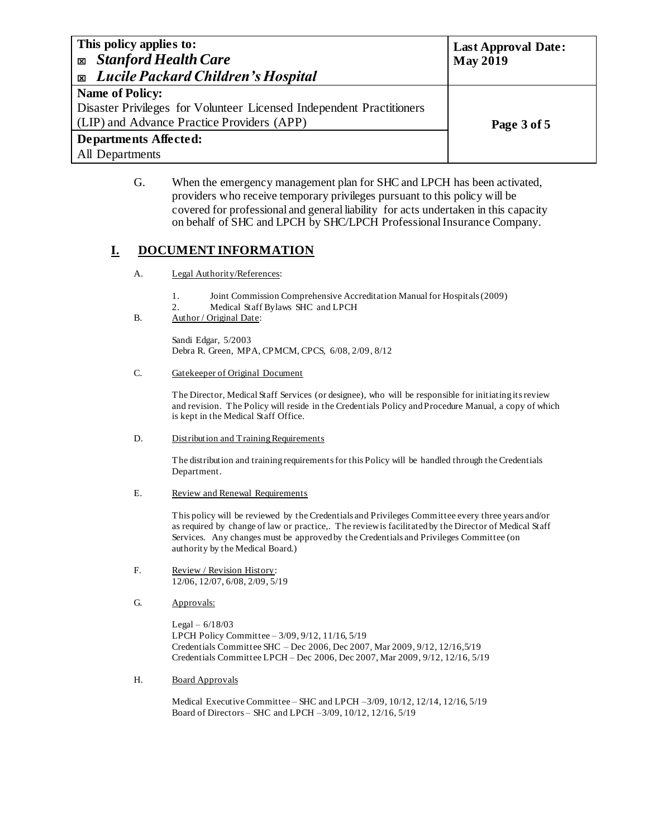| This policy applies to:<br><b>Exp. Stanford Health Care</b><br><b>Exable 2</b> Lucile Packard Children's Hospital                            | <b>Last Approval Date:</b><br><b>May 2019</b> |  |  |  |
|----------------------------------------------------------------------------------------------------------------------------------------------|-----------------------------------------------|--|--|--|
| <b>Name of Policy:</b><br>Disaster Privileges for Volunteer Licensed Independent Practitioners<br>(LIP) and Advance Practice Providers (APP) | Page 3 of 5                                   |  |  |  |
| <b>Departments Affected:</b><br>All Departments                                                                                              |                                               |  |  |  |

G. When the emergency management plan for SHC and LPCH has been activated, providers who receive temporary privileges pursuant to this policy will be covered for professional and general liability for acts undertaken in this capacity on behalf of SHC and LPCH by SHC/LPCH Professional Insurance Company.

## **I. DOCUMENT INFORMATION**

- A. Legal Authority/References:
	- 1. Joint Commission Comprehensive Accreditation Manual for Hospitals (2009)
	- 2. Medical Staff Bylaws SHC and LPCH

### B. Author / Original Date:

Sandi Edgar, 5/2003 Debra R. Green, MPA, CPMCM, CPCS, 6/08, 2/09, 8/12

#### C. Gatekeeper of Original Document

The Director, Medical Staff Services (or designee), who will be responsible for initiating its review and revision. The Policy will reside in the Credentials Policy and Procedure Manual, a copy of which is kept in the Medical Staff Office.

#### D. Distribution and Training Requirements

The distribution and training requirements for this Policy will be handled through the Credentials Department.

#### E. Review and Renewal Requirements

This policy will be reviewed by the Credentials and Privileges Committee every three years and/or as required by change of law or practice,. The review is facilitated by the Director of Medical Staff Services. Any changes must be approved by the Credentials and Privileges Committee (on authority by the Medical Board.)

- F. Review / Revision History: 12/06, 12/07, 6/08, 2/09, 5/19
- G. **Approvals:**

Legal – 6/18/03 LPCH Policy Committee – 3/09, 9/12, 11/16, 5/19 Credentials Committee SHC – Dec 2006, Dec 2007, Mar 2009, 9/12, 12/16,5/19 Credentials Committee LPCH – Dec 2006, Dec 2007, Mar 2009, 9/12, 12/16, 5/19

### H. Board Approvals

Medical Executive Committee – SHC and LPCH –3/09, 10/12, 12/14, 12/16, 5/19 Board of Directors – SHC and LPCH –3/09, 10/12, 12/16, 5/19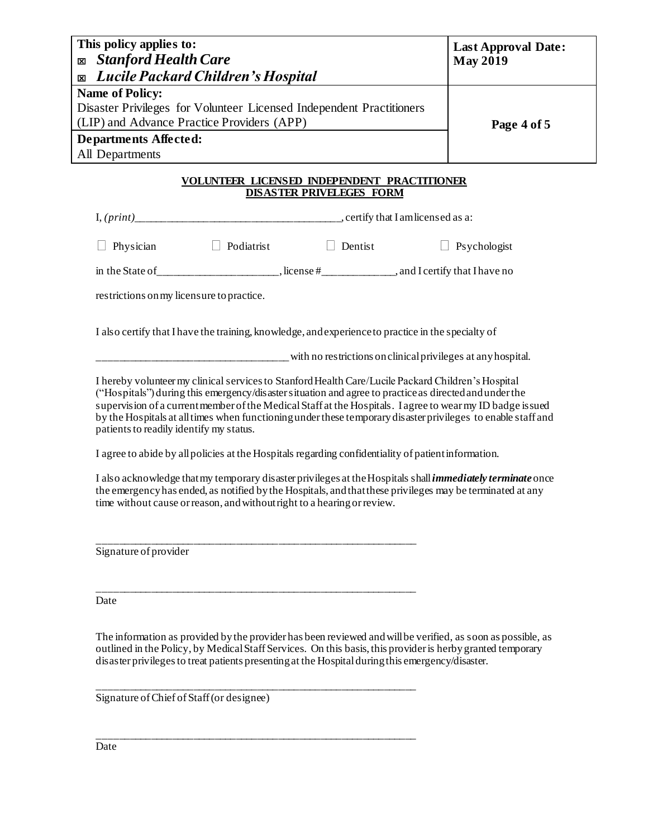| This policy applies to:<br><b>Stanford Health Care</b><br>図<br>Lucile Packard Children's Hospital<br>X                                       | <b>Last Approval Date:</b><br><b>May 2019</b>                                                       |                                 |                                                                                                                                                                                                                                                                                                                                                                                                                                            |  |  |
|----------------------------------------------------------------------------------------------------------------------------------------------|-----------------------------------------------------------------------------------------------------|---------------------------------|--------------------------------------------------------------------------------------------------------------------------------------------------------------------------------------------------------------------------------------------------------------------------------------------------------------------------------------------------------------------------------------------------------------------------------------------|--|--|
| <b>Name of Policy:</b><br>Disaster Privileges for Volunteer Licensed Independent Practitioners<br>(LIP) and Advance Practice Providers (APP) | Page 4 of 5                                                                                         |                                 |                                                                                                                                                                                                                                                                                                                                                                                                                                            |  |  |
| <b>Departments Affected:</b><br>All Departments                                                                                              |                                                                                                     |                                 |                                                                                                                                                                                                                                                                                                                                                                                                                                            |  |  |
|                                                                                                                                              | <b>VOLUNTEER LICENSED INDEPENDENT PRACTITIONER</b>                                                  | <b>DISASTER PRIVELEGES FORM</b> |                                                                                                                                                                                                                                                                                                                                                                                                                                            |  |  |
|                                                                                                                                              |                                                                                                     |                                 |                                                                                                                                                                                                                                                                                                                                                                                                                                            |  |  |
| Physician                                                                                                                                    | $\Box$ Podiatrist                                                                                   | $\Box$ Dentist                  | $\Box$ Psychologist                                                                                                                                                                                                                                                                                                                                                                                                                        |  |  |
|                                                                                                                                              |                                                                                                     |                                 |                                                                                                                                                                                                                                                                                                                                                                                                                                            |  |  |
| restrictions on my licensure to practice.                                                                                                    |                                                                                                     |                                 |                                                                                                                                                                                                                                                                                                                                                                                                                                            |  |  |
|                                                                                                                                              | I also certify that I have the training, knowledge, and experience to practice in the specialty of  |                                 |                                                                                                                                                                                                                                                                                                                                                                                                                                            |  |  |
|                                                                                                                                              |                                                                                                     |                                 | with no restrictions on clinical privileges at any hospital.                                                                                                                                                                                                                                                                                                                                                                               |  |  |
| patients to readily identify my status.                                                                                                      |                                                                                                     |                                 | I hereby volunteer my clinical services to Stanford Health Care/Lucile Packard Children's Hospital<br>("Hospitals") during this emergency/disaster situation and agree to practice as directed and under the<br>supervision of a current member of the Medical Staff at the Hospitals. I agree to wear my ID badge is sued<br>by the Hospitals at all times when functioning under these temporary disaster privileges to enable staff and |  |  |
|                                                                                                                                              | I agree to abide by all policies at the Hospitals regarding confidentiality of patient information. |                                 |                                                                                                                                                                                                                                                                                                                                                                                                                                            |  |  |
|                                                                                                                                              |                                                                                                     |                                 | I also acknowledge that my temporary disaster privileges at the Hospitals shall <i>immediately terminate</i> once<br>the emergency has ended, as notified by the Hospitals, and that these privileges may be terminated at any                                                                                                                                                                                                             |  |  |

Signature of provider

Date

The information as provided by the provider has been reviewed and will be verified, as soon as possible, as outlined in the Policy, by Medical Staff Services. On this basis, this provider is herby granted temporary disaster privileges to treat patients presenting at the Hospital during this emergency/disaster.

\_\_\_\_\_\_\_\_\_\_\_\_\_\_\_\_\_\_\_\_\_\_\_\_\_\_\_\_\_\_\_\_\_\_\_\_\_\_\_\_\_\_\_\_\_\_\_\_\_\_\_\_\_\_\_\_\_\_\_\_

\_\_\_\_\_\_\_\_\_\_\_\_\_\_\_\_\_\_\_\_\_\_\_\_\_\_\_\_\_\_\_\_\_\_\_\_\_\_\_\_\_\_\_\_\_\_\_\_\_\_\_\_\_\_\_\_\_\_\_\_

\_\_\_\_\_\_\_\_\_\_\_\_\_\_\_\_\_\_\_\_\_\_\_\_\_\_\_\_\_\_\_\_\_\_\_\_\_\_\_\_\_\_\_\_\_\_\_\_\_\_\_\_\_\_\_\_\_\_\_\_

\_\_\_\_\_\_\_\_\_\_\_\_\_\_\_\_\_\_\_\_\_\_\_\_\_\_\_\_\_\_\_\_\_\_\_\_\_\_\_\_\_\_\_\_\_\_\_\_\_\_\_\_\_\_\_\_\_\_\_\_

Signature of Chief of Staff (or designee)